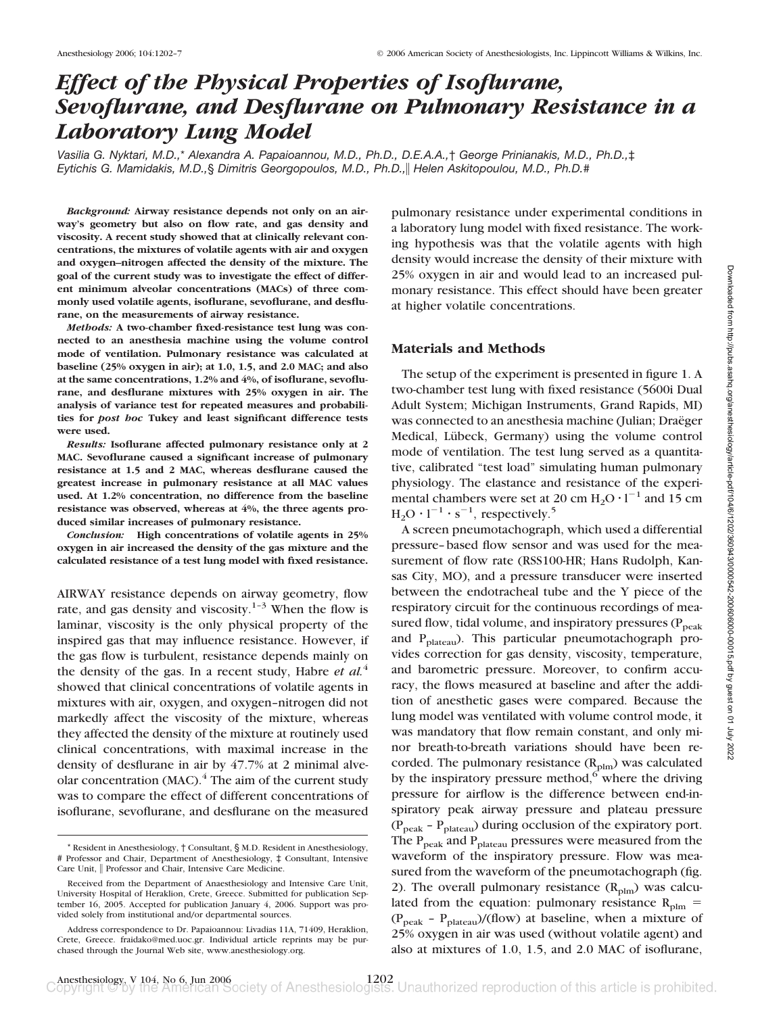# *Effect of the Physical Properties of Isoflurane, Sevoflurane, and Desflurane on Pulmonary Resistance in a Laboratory Lung Model*

*Vasilia G. Nyktari, M.D.,*\* *Alexandra A. Papaioannou, M.D., Ph.D., D.E.A.A.,*† *George Prinianakis, M.D., Ph.D.,*‡ *Eytichis G. Mamidakis, M.D.,*§ *Dimitris Georgopoulos, M.D., Ph.D., Helen Askitopoulou, M.D., Ph.D.*#

*Background:* **Airway resistance depends not only on an airway's geometry but also on flow rate, and gas density and viscosity. A recent study showed that at clinically relevant concentrations, the mixtures of volatile agents with air and oxygen and oxygen–nitrogen affected the density of the mixture. The goal of the current study was to investigate the effect of different minimum alveolar concentrations (MACs) of three commonly used volatile agents, isoflurane, sevoflurane, and desflurane, on the measurements of airway resistance.**

*Methods:* **A two-chamber fixed-resistance test lung was connected to an anesthesia machine using the volume control mode of ventilation. Pulmonary resistance was calculated at baseline (25% oxygen in air); at 1.0, 1.5, and 2.0 MAC; and also at the same concentrations, 1.2% and 4%, of isoflurane, sevoflurane, and desflurane mixtures with 25% oxygen in air. The analysis of variance test for repeated measures and probabilities for** *post hoc* **Tukey and least significant difference tests were used.**

*Results:* **Isoflurane affected pulmonary resistance only at 2 MAC. Sevoflurane caused a significant increase of pulmonary resistance at 1.5 and 2 MAC, whereas desflurane caused the greatest increase in pulmonary resistance at all MAC values used. At 1.2% concentration, no difference from the baseline resistance was observed, whereas at 4%, the three agents produced similar increases of pulmonary resistance.**

*Conclusion:* **High concentrations of volatile agents in 25% oxygen in air increased the density of the gas mixture and the calculated resistance of a test lung model with fixed resistance.**

AIRWAY resistance depends on airway geometry, flow rate, and gas density and viscosity.<sup>1-3</sup> When the flow is laminar, viscosity is the only physical property of the inspired gas that may influence resistance. However, if the gas flow is turbulent, resistance depends mainly on the density of the gas. In a recent study, Habre *et al.*<sup>4</sup> showed that clinical concentrations of volatile agents in mixtures with air, oxygen, and oxygen–nitrogen did not markedly affect the viscosity of the mixture, whereas they affected the density of the mixture at routinely used clinical concentrations, with maximal increase in the density of desflurane in air by 47.7% at 2 minimal alveolar concentration (MAC).<sup>4</sup> The aim of the current study was to compare the effect of different concentrations of isoflurane, sevoflurane, and desflurane on the measured

pulmonary resistance under experimental conditions in a laboratory lung model with fixed resistance. The working hypothesis was that the volatile agents with high density would increase the density of their mixture with 25% oxygen in air and would lead to an increased pulmonary resistance. This effect should have been greater at higher volatile concentrations.

# **Materials and Methods**

The setup of the experiment is presented in figure 1. A two-chamber test lung with fixed resistance (5600i Dual Adult System; Michigan Instruments, Grand Rapids, MI) was connected to an anesthesia machine (Julian; Draëger Medical, Lübeck, Germany) using the volume control mode of ventilation. The test lung served as a quantitative, calibrated "test load" simulating human pulmonary physiology. The elastance and resistance of the experimental chambers were set at 20 cm  $H_2O \cdot l^{-1}$  and 15 cm  $H_2O \cdot 1^{-1} \cdot s^{-1}$ , respectively.<sup>5</sup>

A screen pneumotachograph, which used a differential pressure–based flow sensor and was used for the measurement of flow rate (RSS100-HR; Hans Rudolph, Kansas City, MO), and a pressure transducer were inserted between the endotracheal tube and the Y piece of the respiratory circuit for the continuous recordings of measured flow, tidal volume, and inspiratory pressures  $(P_{peak}$ and  $P_{\text{plateau}}$ ). This particular pneumotachograph provides correction for gas density, viscosity, temperature, and barometric pressure. Moreover, to confirm accuracy, the flows measured at baseline and after the addition of anesthetic gases were compared. Because the lung model was ventilated with volume control mode, it was mandatory that flow remain constant, and only minor breath-to-breath variations should have been recorded. The pulmonary resistance  $(R_{plm})$  was calculated by the inspiratory pressure method, $6\overline{6}$  where the driving pressure for airflow is the difference between end-inspiratory peak airway pressure and plateau pressure  $(P_{peak} - P_{plateau})$  during occlusion of the expiratory port. The  $P_{peak}$  and  $P_{plateau}$  pressures were measured from the waveform of the inspiratory pressure. Flow was measured from the waveform of the pneumotachograph (fig. 2). The overall pulmonary resistance  $(R_{\text{plm}})$  was calculated from the equation: pulmonary resistance  $R_{\text{plm}} =$  $(P_{peak} - P_{plateau})/(flow)$  at baseline, when a mixture of 25% oxygen in air was used (without volatile agent) and also at mixtures of 1.0, 1.5, and 2.0 MAC of isoflurane,

<sup>\*</sup> Resident in Anesthesiology, † Consultant, § M.D. Resident in Anesthesiology, # Professor and Chair, Department of Anesthesiology, ‡ Consultant, Intensive Care Unit, || Professor and Chair, Intensive Care Medicine.

Received from the Department of Anaesthesiology and Intensive Care Unit, University Hospital of Heraklion, Crete, Greece. Submitted for publication September 16, 2005. Accepted for publication January 4, 2006. Support was provided solely from institutional and/or departmental sources.

Address correspondence to Dr. Papaioannou: Livadias 11A, 71409, Heraklion, Crete, Greece. fraidako@med.uoc.gr. Individual article reprints may be purchased through the Journal Web site, www.anesthesiology.org.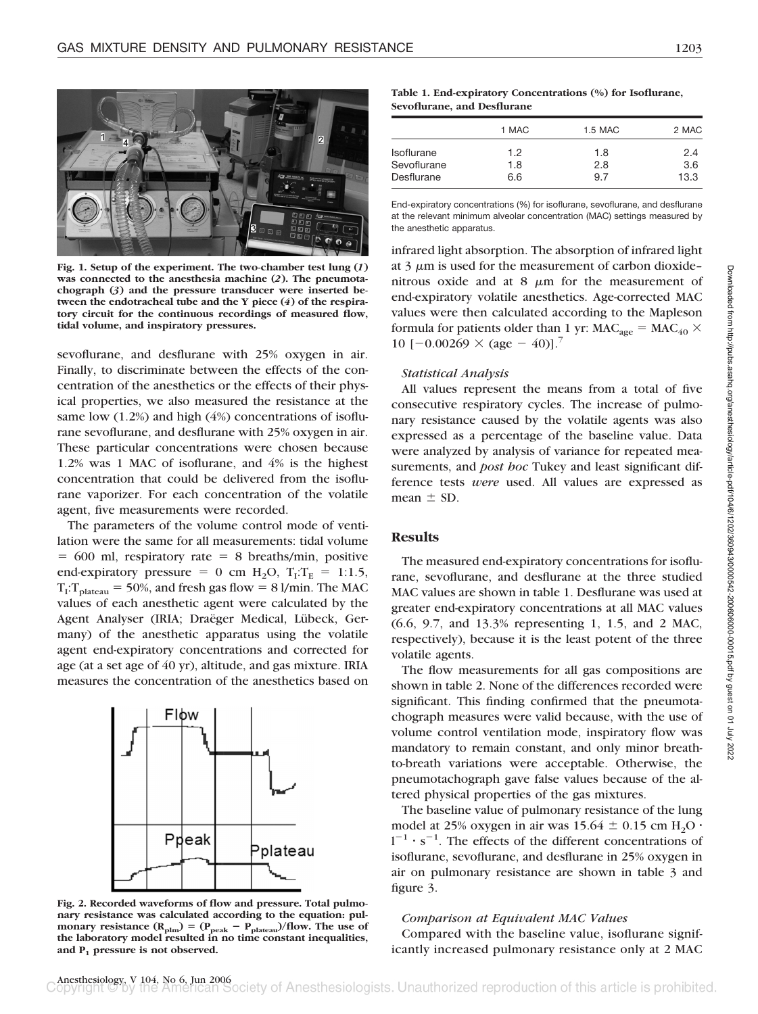

**Fig. 1. Setup of the experiment. The two-chamber test lung (***1***) was connected to the anesthesia machine (***2***). The pneumotachograph (***3***) and the pressure transducer were inserted between the endotracheal tube and the Y piece (***4***) of the respiratory circuit for the continuous recordings of measured flow, tidal volume, and inspiratory pressures.**

sevoflurane, and desflurane with 25% oxygen in air. Finally, to discriminate between the effects of the concentration of the anesthetics or the effects of their physical properties, we also measured the resistance at the same low (1.2%) and high (4%) concentrations of isoflurane sevoflurane, and desflurane with 25% oxygen in air. These particular concentrations were chosen because 1.2% was 1 MAC of isoflurane, and 4% is the highest concentration that could be delivered from the isoflurane vaporizer. For each concentration of the volatile agent, five measurements were recorded.

The parameters of the volume control mode of ventilation were the same for all measurements: tidal volume  $= 600$  ml, respiratory rate  $= 8$  breaths/min, positive end-expiratory pressure = 0 cm  $H_2O$ ,  $T_I:T_E = 1:1.5$ ,  $T_I$ : $T_{plateau}$  = 50%, and fresh gas flow = 8 l/min. The MAC values of each anesthetic agent were calculated by the Agent Analyser (IRIA; Draëger Medical, Lübeck, Germany) of the anesthetic apparatus using the volatile agent end-expiratory concentrations and corrected for age (at a set age of 40 yr), altitude, and gas mixture. IRIA measures the concentration of the anesthetics based on



**Fig. 2. Recorded waveforms of flow and pressure. Total pulmonary resistance was calculated according to the equation: pul**monary resistance  $(R_{\text{plm}}) = (P_{\text{peak}} - P_{\text{plateau}})/\text{flow}$ . The use of **the laboratory model resulted in no time constant inequalities, and P1 pressure is not observed.**

#### **Table 1. End-expiratory Concentrations (%) for Isoflurane, Sevoflurane, and Desflurane**

|                   | 1 MAC | 1.5 MAC | 2 MAC |  |
|-------------------|-------|---------|-------|--|
| <b>Isoflurane</b> | 1.2   | 1.8     | 2.4   |  |
| Sevoflurane       | 1.8   | 2.8     | 3.6   |  |
| Desflurane        | 6.6   | 9.7     | 13.3  |  |

End-expiratory concentrations (%) for isoflurane, sevoflurane, and desflurane at the relevant minimum alveolar concentration (MAC) settings measured by the anesthetic apparatus.

infrared light absorption. The absorption of infrared light at  $3 \mu m$  is used for the measurement of carbon dioxide– nitrous oxide and at  $8 \mu m$  for the measurement of end-expiratory volatile anesthetics. Age-corrected MAC values were then calculated according to the Mapleson formula for patients older than 1 yr:  $MAC_{age} = MAC_{40} \times$ 10  $[-0.00269 \times (age - 40)]$ .<sup>7</sup>

#### *Statistical Analysis*

All values represent the means from a total of five consecutive respiratory cycles. The increase of pulmonary resistance caused by the volatile agents was also expressed as a percentage of the baseline value. Data were analyzed by analysis of variance for repeated measurements, and *post hoc* Tukey and least significant difference tests *were* used. All values are expressed as mean  $\pm$  SD.

## **Results**

The measured end-expiratory concentrations for isoflurane, sevoflurane, and desflurane at the three studied MAC values are shown in table 1. Desflurane was used at greater end-expiratory concentrations at all MAC values (6.6, 9.7, and 13.3% representing 1, 1.5, and 2 MAC, respectively), because it is the least potent of the three volatile agents.

The flow measurements for all gas compositions are shown in table 2. None of the differences recorded were significant. This finding confirmed that the pneumotachograph measures were valid because, with the use of volume control ventilation mode, inspiratory flow was mandatory to remain constant, and only minor breathto-breath variations were acceptable. Otherwise, the pneumotachograph gave false values because of the altered physical properties of the gas mixtures.

The baseline value of pulmonary resistance of the lung model at 25% oxygen in air was  $15.64 \pm 0.15$  cm H<sub>2</sub>O  $\cdot$  $1^{-1} \cdot s^{-1}$ . The effects of the different concentrations of isoflurane, sevoflurane, and desflurane in 25% oxygen in air on pulmonary resistance are shown in table 3 and figure 3.

## *Comparison at Equivalent MAC Values*

Compared with the baseline value, isoflurane significantly increased pulmonary resistance only at 2 MAC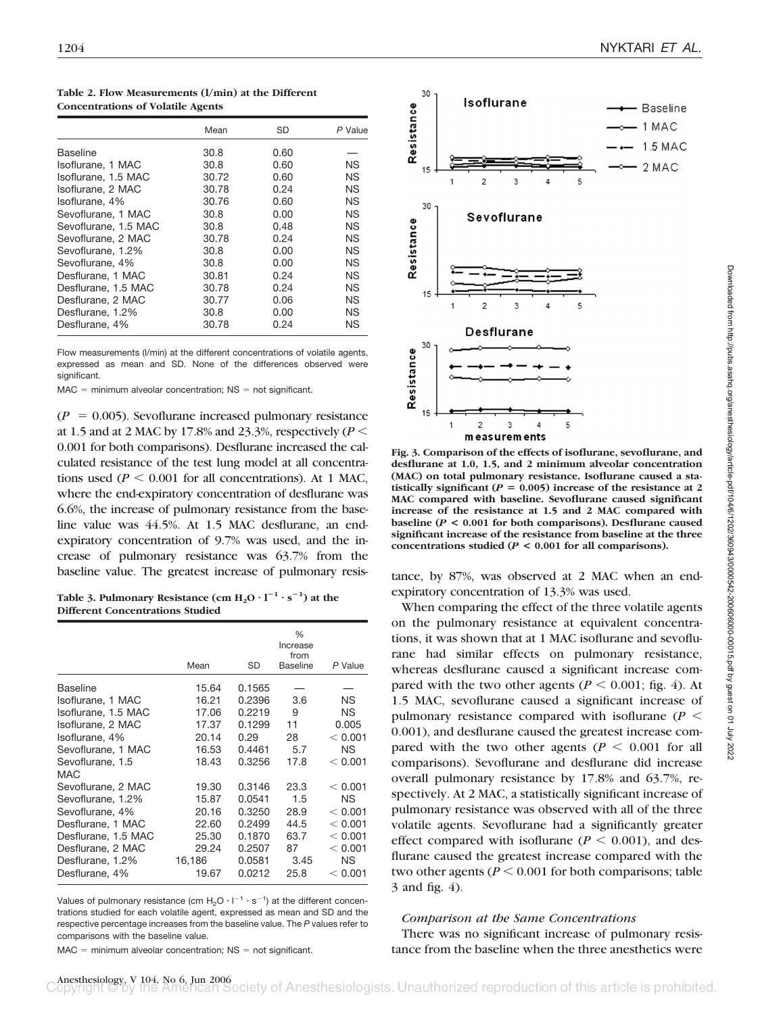|                      | Mean  | <b>SD</b> | P Value   |
|----------------------|-------|-----------|-----------|
| Baseline             | 30.8  | 0.60      |           |
| Isoflurane, 1 MAC    | 30.8  | 0.60      | <b>NS</b> |
| Isoflurane, 1.5 MAC  | 30.72 | 0.60      | <b>NS</b> |
| Isoflurane, 2 MAC    | 30.78 | 0.24      | <b>NS</b> |
| Isoflurane, 4%       | 30.76 | 0.60      | <b>NS</b> |
| Sevoflurane, 1 MAC   | 30.8  | 0.00      | <b>NS</b> |
| Sevoflurane, 1.5 MAC | 30.8  | 0.48      | <b>NS</b> |
| Sevoflurane, 2 MAC   | 30.78 | 0.24      | <b>NS</b> |
| Sevoflurane, 1.2%    | 30.8  | 0.00      | <b>NS</b> |
| Sevoflurane, 4%      | 30.8  | 0.00      | <b>NS</b> |
| Desflurane, 1 MAC    | 30.81 | 0.24      | <b>NS</b> |
| Desflurane, 1.5 MAC  | 30.78 | 0.24      | <b>NS</b> |
| Desflurane, 2 MAC    | 30.77 | 0.06      | <b>NS</b> |
| Desflurane, 1.2%     | 30.8  | 0.00      | <b>NS</b> |
| Desflurane, 4%       | 30.78 | 0.24      | ΝS        |

**Table 2. Flow Measurements (l/min) at the Different Concentrations of Volatile Agents**

Flow measurements (l/min) at the different concentrations of volatile agents, expressed as mean and SD. None of the differences observed were significant.

 $MAC = minimum$  alveolar concentration;  $NS = not$  significant.

 $(P = 0.005)$ . Sevoflurane increased pulmonary resistance at 1.5 and at 2 MAC by 17.8% and 23.3%, respectively (*P* 0.001 for both comparisons). Desflurane increased the calculated resistance of the test lung model at all concentrations used ( $P \le 0.001$  for all concentrations). At 1 MAC, where the end-expiratory concentration of desflurane was 6.6%, the increase of pulmonary resistance from the baseline value was 44.5%. At 1.5 MAC desflurane, an endexpiratory concentration of 9.7% was used, and the increase of pulmonary resistance was 63.7% from the baseline value. The greatest increase of pulmonary resis-<br>tance, by 87%, was observed at 2 MAC when an end-

Table 3. Pulmonary Resistance  $(\text{cm H}_2\text{O} \cdot \text{1}^{-1} \cdot \text{s}^{-1})$  at the **Different Concentrations Studied**

|                     | Mean   | <b>SD</b> | $\%$<br>Increase<br>from<br>Baseline | P Value   |
|---------------------|--------|-----------|--------------------------------------|-----------|
| Baseline            | 15.64  | 0.1565    |                                      |           |
| Isoflurane, 1 MAC   | 16.21  | 0.2396    | 3.6                                  | ΝS        |
| Isoflurane, 1.5 MAC | 17.06  | 0.2219    | 9                                    | ΝS        |
| Isoflurane, 2 MAC   | 17.37  | 0.1299    | 11                                   | 0.005     |
| Isoflurane, 4%      | 20.14  | 0.29      | 28                                   | < 0.001   |
| Sevoflurane, 1 MAC  | 16.53  | 0.4461    | 5.7                                  | <b>NS</b> |
| Sevoflurane, 1.5    | 18.43  | 0.3256    | 17.8                                 | < 0.001   |
| MAC                 |        |           |                                      |           |
| Sevoflurane, 2 MAC  | 19.30  | 0.3146    | 23.3                                 | < 0.001   |
| Sevoflurane, 1.2%   | 15.87  | 0.0541    | 1.5                                  | ΝS        |
| Sevoflurane, 4%     | 20.16  | 0.3250    | 28.9                                 | < 0.001   |
| Desflurane, 1 MAC   | 22.60  | 0.2499    | 44.5                                 | < 0.001   |
| Desflurane, 1.5 MAC | 25.30  | 0.1870    | 63.7                                 | < 0.001   |
| Desflurane, 2 MAC   | 29.24  | 0.2507    | 87                                   | < 0.001   |
| Desflurane, 1.2%    | 16,186 | 0.0581    | 3.45                                 | <b>NS</b> |
| Desflurane, 4%      | 19.67  | 0.0212    | 25.8                                 | < 0.001   |

Values of pulmonary resistance (cm  $H_2O\cdot l^{-1}\cdot s^{-1}$ ) at the different concentrations studied for each volatile agent, expressed as mean and SD and the respective percentage increases from the baseline value. The *P* values refer to comparisons with the baseline value.

 $MAC = minimum$  alveolar concentration;  $NS = not$  significant.



**Fig. 3. Comparison of the effects of isoflurane, sevoflurane, and desflurane at 1.0, 1.5, and 2 minimum alveolar concentration (MAC) on total pulmonary resistance. Isoflurane caused a statistically significant** ( $P = 0.005$ ) increase of the resistance at 2 **MAC compared with baseline. Sevoflurane caused significant increase of the resistance at 1.5 and 2 MAC compared with baseline (***P* **< 0.001 for both comparisons). Desflurane caused significant increase of the resistance from baseline at the three concentrations studied (***P* **< 0.001 for all comparisons).**

expiratory concentration of 13.3% was used.

When comparing the effect of the three volatile agents on the pulmonary resistance at equivalent concentrations, it was shown that at 1 MAC isoflurane and sevoflurane had similar effects on pulmonary resistance, whereas desflurane caused a significant increase compared with the two other agents ( $P \le 0.001$ ; fig. 4). At 1.5 MAC, sevoflurane caused a significant increase of pulmonary resistance compared with isoflurane  $(P \leq$ 0.001), and desflurane caused the greatest increase compared with the two other agents ( $P < 0.001$  for all comparisons). Sevoflurane and desflurane did increase overall pulmonary resistance by 17.8% and 63.7%, respectively. At 2 MAC, a statistically significant increase of pulmonary resistance was observed with all of the three volatile agents. Sevoflurane had a significantly greater effect compared with isoflurane  $(P \le 0.001)$ , and desflurane caused the greatest increase compared with the two other agents ( $P \le 0.001$  for both comparisons; table 3 and fig. 4).

#### *Comparison at the Same Concentrations*

There was no significant increase of pulmonary resistance from the baseline when the three anesthetics were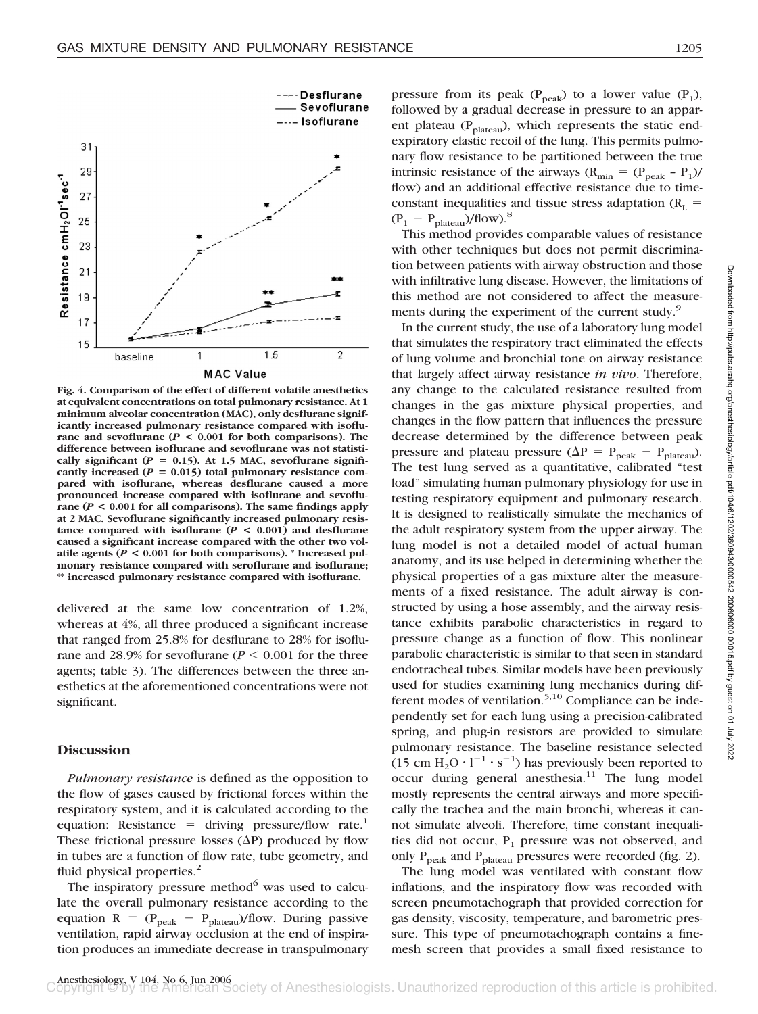

**Fig. 4. Comparison of the effect of different volatile anesthetics at equivalent concentrations on total pulmonary resistance. At 1 minimum alveolar concentration (MAC), only desflurane significantly increased pulmonary resistance compared with isoflurane and sevoflurane (** $P < 0.001$  **for both comparisons). The difference between isoflurane and sevoflurane was not statisti**cally significant ( $P = 0.15$ ). At 1.5 MAC, sevoflurane significantly increased  $(P = 0.015)$  total pulmonary resistance com**pared with isoflurane, whereas desflurane caused a more pronounced increase compared with isoflurane and sevoflurane (***P* **< 0.001 for all comparisons). The same findings apply at 2 MAC. Sevoflurane significantly increased pulmonary resistance compared with isoflurane (***P* **< 0.001) and desflurane caused a significant increase compared with the other two volatile agents (***P* **< 0.001 for both comparisons). \* Increased pulmonary resistance compared with seroflurane and isoflurane; \*\* increased pulmonary resistance compared with isoflurane.**

delivered at the same low concentration of 1.2%, whereas at 4%, all three produced a significant increase that ranged from 25.8% for desflurane to 28% for isoflurane and 28.9% for sevoflurane ( $P \le 0.001$  for the three agents; table 3). The differences between the three anesthetics at the aforementioned concentrations were not significant.

## **Discussion**

*Pulmonary resistance* is defined as the opposition to the flow of gases caused by frictional forces within the respiratory system, and it is calculated according to the equation: Resistance = driving pressure/flow rate.<sup>1</sup> These frictional pressure losses  $(\Delta P)$  produced by flow in tubes are a function of flow rate, tube geometry, and fluid physical properties.<sup>2</sup>

The inspiratory pressure method $6$  was used to calculate the overall pulmonary resistance according to the equation  $R = (P_{peak} - P_{plateau})/flow$ . During passive ventilation, rapid airway occlusion at the end of inspiration produces an immediate decrease in transpulmonary

pressure from its peak ( $P_{peak}$ ) to a lower value ( $P_1$ ), followed by a gradual decrease in pressure to an apparent plateau (P<sub>plateau</sub>), which represents the static endexpiratory elastic recoil of the lung. This permits pulmonary flow resistance to be partitioned between the true intrinsic resistance of the airways ( $R_{min} = (P_{peak} - P_1)$ / flow) and an additional effective resistance due to timeconstant inequalities and tissue stress adaptation ( $R_L$  =  $(P_1 - P_{plateau})/flow$ .<sup>8</sup>

This method provides comparable values of resistance with other techniques but does not permit discrimination between patients with airway obstruction and those with infiltrative lung disease. However, the limitations of this method are not considered to affect the measurements during the experiment of the current study.<sup>9</sup>

In the current study, the use of a laboratory lung model that simulates the respiratory tract eliminated the effects of lung volume and bronchial tone on airway resistance that largely affect airway resistance *in vivo*. Therefore, any change to the calculated resistance resulted from changes in the gas mixture physical properties, and changes in the flow pattern that influences the pressure decrease determined by the difference between peak pressure and plateau pressure ( $\Delta P = P_{peak} - P_{plateau}$ ). The test lung served as a quantitative, calibrated "test load" simulating human pulmonary physiology for use in testing respiratory equipment and pulmonary research. It is designed to realistically simulate the mechanics of the adult respiratory system from the upper airway. The lung model is not a detailed model of actual human anatomy, and its use helped in determining whether the physical properties of a gas mixture alter the measurements of a fixed resistance. The adult airway is constructed by using a hose assembly, and the airway resistance exhibits parabolic characteristics in regard to pressure change as a function of flow. This nonlinear parabolic characteristic is similar to that seen in standard endotracheal tubes. Similar models have been previously used for studies examining lung mechanics during different modes of ventilation.<sup>5,10</sup> Compliance can be independently set for each lung using a precision-calibrated spring, and plug-in resistors are provided to simulate pulmonary resistance. The baseline resistance selected  $(15 \text{ cm } H_2\text{O} \cdot 1^{-1} \cdot \text{s}^{-1})$  has previously been reported to occur during general anesthesia. $11$  The lung model mostly represents the central airways and more specifically the trachea and the main bronchi, whereas it cannot simulate alveoli. Therefore, time constant inequalities did not occur,  $P_1$  pressure was not observed, and only  $P_{peak}$  and  $P_{plateau}$  pressures were recorded (fig. 2).

The lung model was ventilated with constant flow inflations, and the inspiratory flow was recorded with screen pneumotachograph that provided correction for gas density, viscosity, temperature, and barometric pressure. This type of pneumotachograph contains a finemesh screen that provides a small fixed resistance to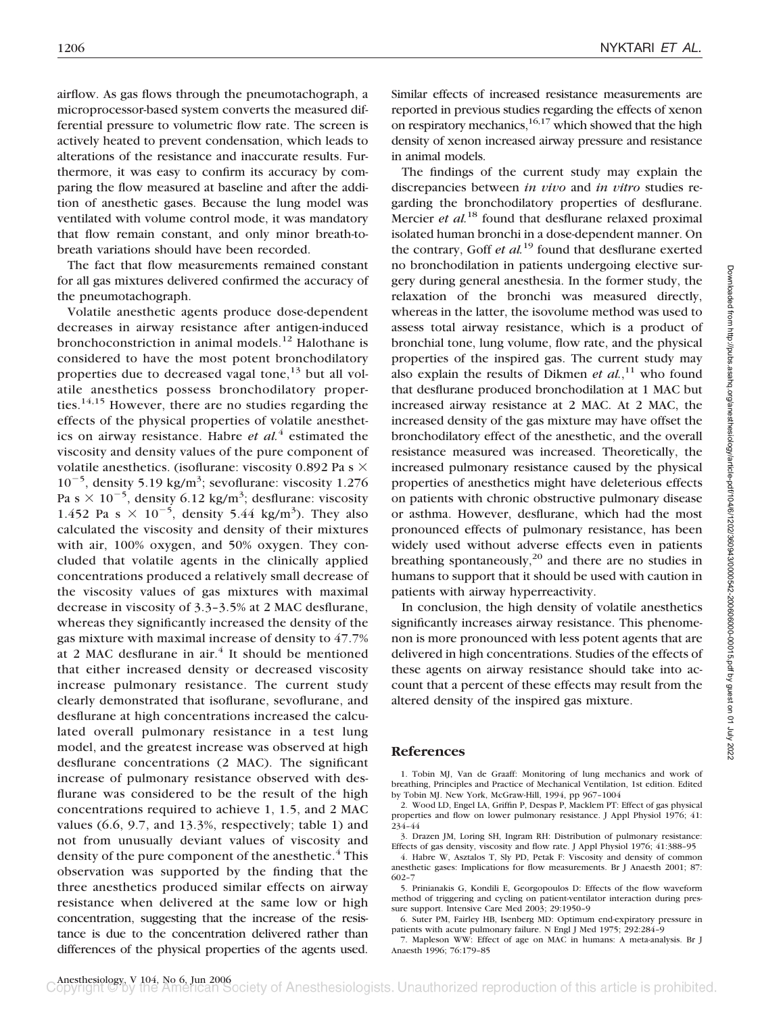airflow. As gas flows through the pneumotachograph, a microprocessor-based system converts the measured differential pressure to volumetric flow rate. The screen is actively heated to prevent condensation, which leads to alterations of the resistance and inaccurate results. Furthermore, it was easy to confirm its accuracy by comparing the flow measured at baseline and after the addition of anesthetic gases. Because the lung model was ventilated with volume control mode, it was mandatory that flow remain constant, and only minor breath-tobreath variations should have been recorded.

The fact that flow measurements remained constant for all gas mixtures delivered confirmed the accuracy of the pneumotachograph.

Volatile anesthetic agents produce dose-dependent decreases in airway resistance after antigen-induced bronchoconstriction in animal models.<sup>12</sup> Halothane is considered to have the most potent bronchodilatory properties due to decreased vagal tone,<sup>13</sup> but all volatile anesthetics possess bronchodilatory properties. $14,15$  However, there are no studies regarding the effects of the physical properties of volatile anesthetics on airway resistance. Habre *et al.*<sup>4</sup> estimated the viscosity and density values of the pure component of volatile anesthetics. (isoflurane: viscosity 0.892 Pa s  $\times$  $10^{-5}$ , density 5.19 kg/m<sup>3</sup>; sevoflurane: viscosity 1.276 Pa s  $\times$  10<sup>-5</sup>, density 6.12 kg/m<sup>3</sup>; desflurane: viscosity 1.452 Pa s  $\times$  10<sup>-5</sup>, density 5.44 kg/m<sup>3</sup>). They also calculated the viscosity and density of their mixtures with air, 100% oxygen, and 50% oxygen. They concluded that volatile agents in the clinically applied concentrations produced a relatively small decrease of the viscosity values of gas mixtures with maximal decrease in viscosity of 3.3–3.5% at 2 MAC desflurane, whereas they significantly increased the density of the gas mixture with maximal increase of density to 47.7% at 2 MAC desflurane in air. $4$  It should be mentioned that either increased density or decreased viscosity increase pulmonary resistance. The current study clearly demonstrated that isoflurane, sevoflurane, and desflurane at high concentrations increased the calculated overall pulmonary resistance in a test lung model, and the greatest increase was observed at high desflurane concentrations (2 MAC). The significant increase of pulmonary resistance observed with desflurane was considered to be the result of the high concentrations required to achieve 1, 1.5, and 2 MAC values (6.6, 9.7, and 13.3%, respectively; table 1) and not from unusually deviant values of viscosity and density of the pure component of the anesthetic.<sup>4</sup> This observation was supported by the finding that the three anesthetics produced similar effects on airway resistance when delivered at the same low or high concentration, suggesting that the increase of the resistance is due to the concentration delivered rather than differences of the physical properties of the agents used.

Similar effects of increased resistance measurements are reported in previous studies regarding the effects of xenon on respiratory mechanics,  $16,17$  which showed that the high density of xenon increased airway pressure and resistance in animal models.

The findings of the current study may explain the discrepancies between *in vivo* and *in vitro* studies regarding the bronchodilatory properties of desflurane. Mercier *et al.*<sup>18</sup> found that desflurane relaxed proximal isolated human bronchi in a dose-dependent manner. On the contrary, Goff *et al.*<sup>19</sup> found that desflurane exerted no bronchodilation in patients undergoing elective surgery during general anesthesia. In the former study, the relaxation of the bronchi was measured directly, whereas in the latter, the isovolume method was used to assess total airway resistance, which is a product of bronchial tone, lung volume, flow rate, and the physical properties of the inspired gas. The current study may also explain the results of Dikmen *et al.*,<sup>11</sup> who found that desflurane produced bronchodilation at 1 MAC but increased airway resistance at 2 MAC. At 2 MAC, the increased density of the gas mixture may have offset the bronchodilatory effect of the anesthetic, and the overall resistance measured was increased. Theoretically, the increased pulmonary resistance caused by the physical properties of anesthetics might have deleterious effects on patients with chronic obstructive pulmonary disease or asthma. However, desflurane, which had the most pronounced effects of pulmonary resistance, has been widely used without adverse effects even in patients breathing spontaneously, $^{20}$  and there are no studies in humans to support that it should be used with caution in patients with airway hyperreactivity.

In conclusion, the high density of volatile anesthetics significantly increases airway resistance. This phenomenon is more pronounced with less potent agents that are delivered in high concentrations. Studies of the effects of these agents on airway resistance should take into account that a percent of these effects may result from the altered density of the inspired gas mixture.

# **References**

1. Tobin MJ, Van de Graaff: Monitoring of lung mechanics and work of breathing, Principles and Practice of Mechanical Ventilation, 1st edition. Edited by Tobin MJ. New York, McGraw-Hill, 1994, pp 967–1004

2. Wood LD, Engel LA, Griffin P, Despas P, Macklem PT: Effect of gas physical properties and flow on lower pulmonary resistance. J Appl Physiol 1976; 41: 234–44

3. Drazen JM, Loring SH, Ingram RH: Distribution of pulmonary resistance: Effects of gas density, viscosity and flow rate. J Appl Physiol 1976; 41:388–95

4. Habre W, Asztalos T, Sly PD, Petak F: Viscosity and density of common anesthetic gases: Implications for flow measurements. Br J Anaesth 2001; 87: 602–7

5. Prinianakis G, Kondili E, Georgopoulos D: Effects of the flow waveform method of triggering and cycling on patient-ventilator interaction during pressure support. Intensive Care Med 2003; 29:1950–9

6. Suter PM, Fairley HB, Isenberg MD: Optimum end-expiratory pressure in patients with acute pulmonary failure. N Engl J Med 1975; 292:284–9

7. Mapleson WW: Effect of age on MAC in humans: A meta-analysis. Br J Anaesth 1996; 76:179–85